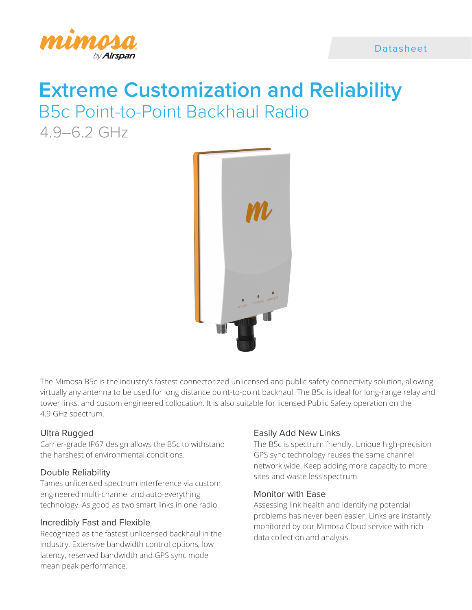

# **Extreme Customization and Reliability** B5c Point-to-Point Backhaul Radio

4.9–6.2 GHz



The Mimosa B5c is the industry's fastest connectorized unlicensed and public safety connectivity solution, allowing virtually any antenna to be used for long distance point-to-point backhaul. The B5c is ideal for long-range relay and tower links, and custom engineered collocation. It is also suitable for licensed Public Safety operation on the 4.9 GHz spectrum.

# Ultra Rugged

Carrier-grade IP67 design allows the B5c to withstand the harshest of environmental conditions.

# Double Reliability

Tames unlicensed spectrum interference via custom engineered multi-channel and auto-everything technology. As good as two smart links in one radio.

# Incredibly Fast and Flexible

Recognized as the fastest unlicensed backhaul in the industry. Extensive bandwidth control options, low latency, reserved bandwidth and GPS sync mode mean peak performance.

# Easily Add New Links

The B5c is spectrum friendly. Unique high-precision GPS sync technology reuses the same channel network wide. Keep adding more capacity to more sites and waste less spectrum.

# Monitor with Ease

Assessing link health and identifying potential problems has never been easier. Links are instantly monitored by our Mimosa Cloud service with rich data collection and analysis.